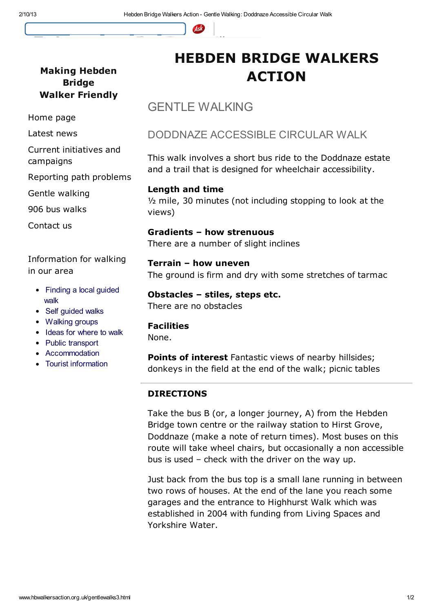

### Making Hebden Bridge Walker Friendly

#### Home page

Latest news

Current initiatives and

campaigns

Reporting path problems

Gentle walking

906 bus walks

Contact us

Information for walking in our area

- Finding a local quided walk
- Self quided walks
- Walking groups
- Ideas for where to walk
- Public transport
- Accommodation
- Tourist information

HEBDEN BRIDGE WALKERS ACTION

# GENTLE WALKING

## DODDNAZE ACCESSIBLE CIRCULAR WALK

This walk involves a short bus ride to the Doddnaze estate and a trail that is designed for wheelchair accessibility.

Length and time ½ mile, 30 minutes (not including stopping to look at the views)

Gradients – how strenuous There are a number of slight inclines

Terrain – how uneven The ground is firm and dry with some stretches of tarmac

Obstacles – stiles, steps etc. There are no obstacles

#### Facilities

None.

Points of interest Fantastic views of nearby hillsides; donkeys in the field at the end of the walk; picnic tables

### DIRECTIONS

Take the bus B (or, a longer journey, A) from the Hebden Bridge town centre or the railway station to Hirst Grove, Doddnaze (make a note of return times). Most buses on this route will take wheel chairs, but occasionally a non accessible bus is used – check with the driver on the way up.

Just back from the bus top is a small lane running in between two rows of houses. At the end of the lane you reach some garages and the entrance to Highhurst Walk which was established in 2004 with funding from Living Spaces and Yorkshire Water.